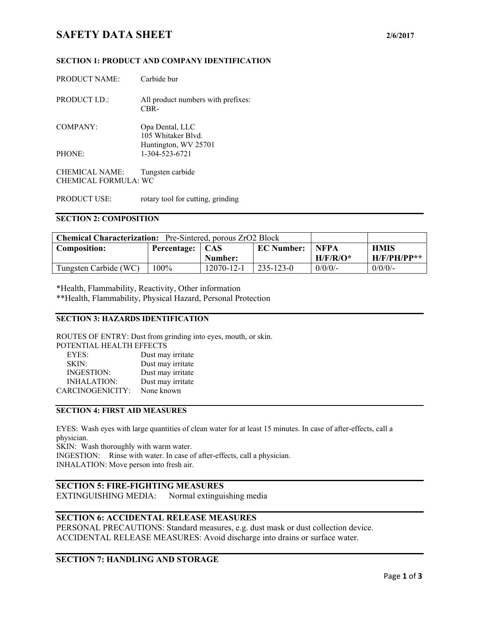# **SAFETY DATA SHEET** 2/6/2017

#### **SECTION 1: PRODUCT AND COMPANY IDENTIFICATION**

| <b>PRODUCT NAME:</b>  | Carbide bur                                |
|-----------------------|--------------------------------------------|
| PRODUCT I.D.:         | All product numbers with prefixes:<br>CBR- |
| COMPANY:              | Opa Dental, LLC<br>105 Whitaker Blyd.      |
|                       | Huntington, WV 25701                       |
| PHONE:                | 1-304-523-6721                             |
| <b>CHEMICAL NAME:</b> | Tungsten carbide                           |
| CHEMICAL FORMULA: WC  |                                            |

PRODUCT USE: rotary tool for cutting, grinding

#### **SECTION 2: COMPOSITION**

| <b>Chemical Characterization:</b> Pre-Sintered, porous ZrO2 Block |                   |            |                   |             |               |
|-------------------------------------------------------------------|-------------------|------------|-------------------|-------------|---------------|
| <b>Composition:</b>                                               | Percentage:   CAS |            | <b>EC Number:</b> | <b>NFPA</b> | <b>HMIS</b>   |
|                                                                   |                   | Number:    |                   | $H/F/R/O^*$ | $H/F/PH/PP**$ |
| Tungsten Carbide (WC)                                             | 100%              | 12070-12-1 | $235 - 123 - 0$   | $0/0/0$ /-  | $0/0/0$ /-    |

\*Health, Flammability, Reactivity, Other information \*\*Health, Flammability, Physical Hazard, Personal Protection

#### **SECTION 3: HAZARDS IDENTIFICATION**

ROUTES OF ENTRY: Dust from grinding into eyes, mouth, or skin.

| POTENTIAL HEALTH EFFECTS |  |  |  |
|--------------------------|--|--|--|
|                          |  |  |  |
|                          |  |  |  |
|                          |  |  |  |
|                          |  |  |  |
|                          |  |  |  |
|                          |  |  |  |

## **SECTION 4: FIRST AID MEASURES**

EYES: Wash eyes with large quantities of clean water for at least 15 minutes. In case of after-effects, call a physician. SKIN: Wash thoroughly with warm water.

INGESTION: Rinse with water. In case of after-effects, call a physician. INHALATION: Move person into fresh air.

#### **SECTION 5: FIRE-FIGHTING MEASURES**

EXTINGUISHING MEDIA: Normal extinguishing media

## **SECTION 6: ACCIDENTAL RELEASE MEASURES**

PERSONAL PRECAUTIONS: Standard measures, e.g. dust mask or dust collection device. ACCIDENTAL RELEASE MEASURES: Avoid discharge into drains or surface water.

#### **SECTION 7: HANDLING AND STORAGE**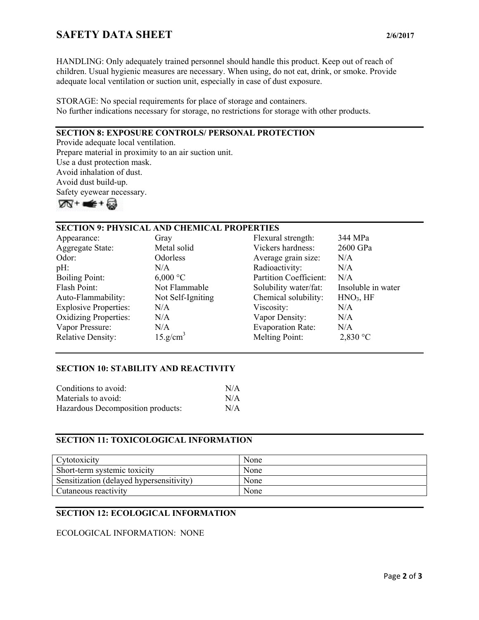# **SAFETY DATA SHEET** 2/6/2017

HANDLING: Only adequately trained personnel should handle this product. Keep out of reach of children. Usual hygienic measures are necessary. When using, do not eat, drink, or smoke. Provide adequate local ventilation or suction unit, especially in case of dust exposure.

### STORAGE: No special requirements for place of storage and containers. No further indications necessary for storage, no restrictions for storage with other products.

## **SECTION 8: EXPOSURE CONTROLS/ PERSONAL PROTECTION**

Provide adequate local ventilation. Prepare material in proximity to an air suction unit. Use a dust protection mask. Avoid inhalation of dust. Avoid dust build-up. Safety eyewear necessary.



## **SECTION 9: PHYSICAL AND CHEMICAL PROPERTIES**

| Appearance:                  | Gray                 | Flexural strength:            | 344 MPa               |
|------------------------------|----------------------|-------------------------------|-----------------------|
| <b>Aggregate State:</b>      | Metal solid          | Vickers hardness:             | 2600 GPa              |
| Odor:                        | Odorless             | Average grain size:           | N/A                   |
| $pH$ :                       | N/A                  | Radioactivity:                | N/A                   |
| <b>Boiling Point:</b>        | $6,000 \degree C$    | <b>Partition Coefficient:</b> | N/A                   |
| Flash Point:                 | Not Flammable        | Solubility water/fat:         | Insoluble in water    |
| Auto-Flammability:           | Not Self-Igniting    | Chemical solubility:          | HNO <sub>3</sub> , HF |
| <b>Explosive Properties:</b> | N/A                  | Viscosity:                    | N/A                   |
| <b>Oxidizing Properties:</b> | N/A                  | Vapor Density:                | N/A                   |
| Vapor Pressure:              | N/A                  | <b>Evaporation Rate:</b>      | N/A                   |
| <b>Relative Density:</b>     | 15.g/cm <sup>3</sup> | Melting Point:                | 2,830 °C              |

### **SECTION 10: STABILITY AND REACTIVITY**

| Conditions to avoid:              | N/A |
|-----------------------------------|-----|
| Materials to avoid:               | N/A |
| Hazardous Decomposition products: | N/A |

### **SECTION 11: TOXICOLOGICAL INFORMATION**

| Cytotoxicity                             | None |
|------------------------------------------|------|
| Short-term systemic toxicity             | None |
| Sensitization (delayed hypersensitivity) | None |
| Cutaneous reactivity                     | None |

## **SECTION 12: ECOLOGICAL INFORMATION**

### ECOLOGICAL INFORMATION: NONE